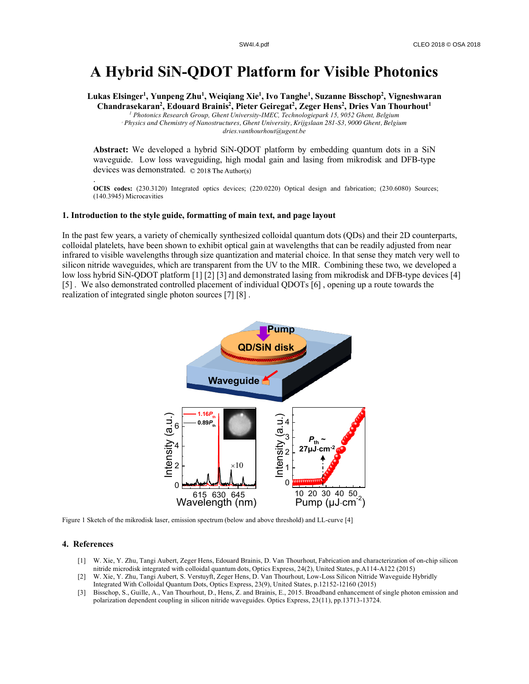## **A Hybrid SiN-QDOT Platform for Visible Photonics**

**Lukas Elsinger1 , Yunpeng Zhu1 , Weiqiang Xie1 , Ivo Tanghe1 , Suzanne Bisschop2 , Vigneshwaran Chandrasekaran2 , Edouard Brainis2 , Pieter Geiregat2 , Zeger Hens2 , Dries Van Thourhout1** *<sup>1</sup> Photonics Research Group, Ghent University-IMEC, Technologiepark 15, 9052 Ghent, Belgium <sup>2</sup> Physics and Chemistry of Nanostructures, Ghent University, Krijgslaan 281-S3, 9000 Ghent, Belgium dries.vanthourhout@ugent.be*

**Abstract:** We developed a hybrid SiN-QDOT platform by embedding quantum dots in a SiN waveguide. Low loss waveguiding, high modal gain and lasing from mikrodisk and DFB-type devices was demonstrated. ©2018TheAuthor(s)

. **OCIS codes:** (230.3120) Integrated optics devices; (220.0220) Optical design and fabrication; (230.6080) Sources; (140.3945) Microcavities

## **1. Introduction to the style guide, formatting of main text, and page layout**

In the past few years, a variety of chemically synthesized colloidal quantum dots (QDs) and their 2D counterparts, colloidal platelets, have been shown to exhibit optical gain at wavelengths that can be readily adjusted from near infrared to visible wavelengths through size quantization and material choice. In that sense they match very well to silicon nitride waveguides, which are transparent from the UV to the MIR. Combining these two, we developed a low loss hybrid SiN-QDOT platform [1] [2] [3] and demonstrated lasing from mikrodisk and DFB-type devices [4] [5] . We also demonstrated controlled placement of individual QDOTs [6] , opening up a route towards the realization of integrated single photon sources [7] [8] .



Figure 1 Sketch of the mikrodisk laser, emission spectrum (below and above threshold) and LL-curve [4]

## **4. References**

- [1] W. Xie, Y. Zhu, Tangi Aubert, Zeger Hens, Edouard Brainis, D. Van Thourhout, Fabrication and characterization of on-chip silicon nitride microdisk integrated with colloidal quantum dots, Optics Express, 24(2), United States, p.A114-A122 (2015)
- [2] W. Xie, Y. Zhu, Tangi Aubert, S. Verstuyft, Zeger Hens, D. Van Thourhout, Low-Loss Silicon Nitride Waveguide Hybridly Integrated With Colloidal Quantum Dots, Optics Express, 23(9), United States, p.12152-12160 (2015)
- [3] Bisschop, S., Guille, A., Van Thourhout, D., Hens, Z. and Brainis, E., 2015. Broadband enhancement of single photon emission and polarization dependent coupling in silicon nitride waveguides. Optics Express, 23(11), pp.13713-13724.